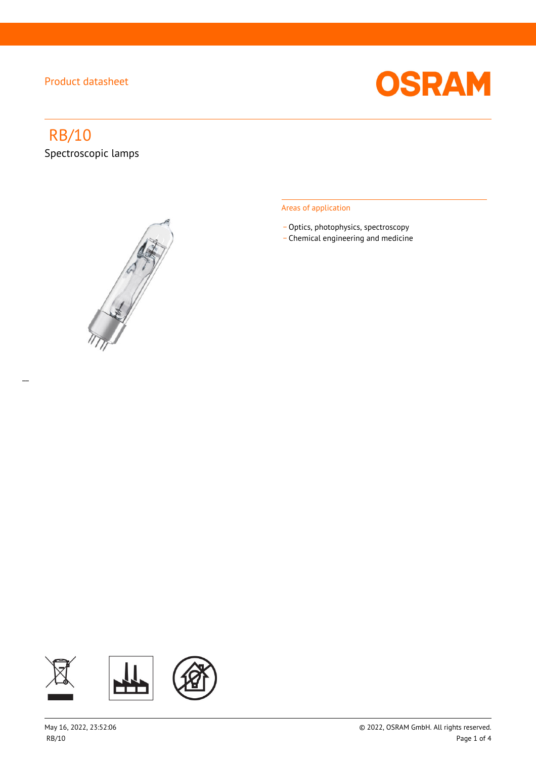

# RB/10

 $\overline{a}$ 

Spectroscopic lamps



#### Areas of application

- Optics, photophysics, spectroscopy
- \_ Chemical engineering and medicine

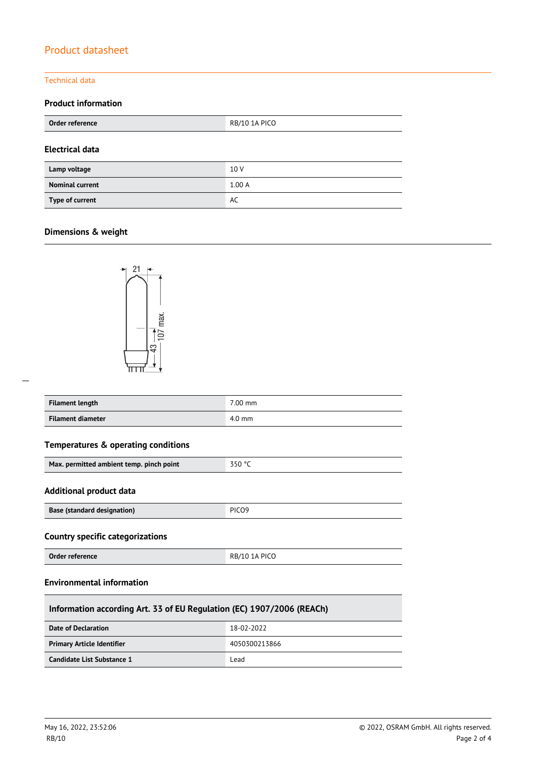#### Technical data

#### **Product information**

| RB/10 1A PICO<br>Order reference |       |
|----------------------------------|-------|
| <b>Electrical data</b>           |       |
| Lamp voltage                     | 10 V  |
| <b>Nominal current</b>           | 1.00A |
| Type of current                  | AC    |

### **Dimensions & weight**



| <b>Filament length</b> | $7.00$ mm |
|------------------------|-----------|
| Filament diameter      | 4.0 mm    |

## **Temperatures & operating conditions**

| Max. permitted ambient temp. pinch point | $-550 °C$ |
|------------------------------------------|-----------|
|                                          |           |

#### **Additional product data**

| <b>Base (standard designation)</b> | PICO <sub>9</sub> |
|------------------------------------|-------------------|

#### **Country specific categorizations**

| Order reference | RB/10 1A PICO |
|-----------------|---------------|

#### **Environmental information**

| Information according Art. 33 of EU Regulation (EC) 1907/2006 (REACh) |               |  |
|-----------------------------------------------------------------------|---------------|--|
| Date of Declaration                                                   | 18-02-2022    |  |
| <b>Primary Article Identifier</b>                                     | 4050300213866 |  |
| Candidate List Substance 1                                            | Lead          |  |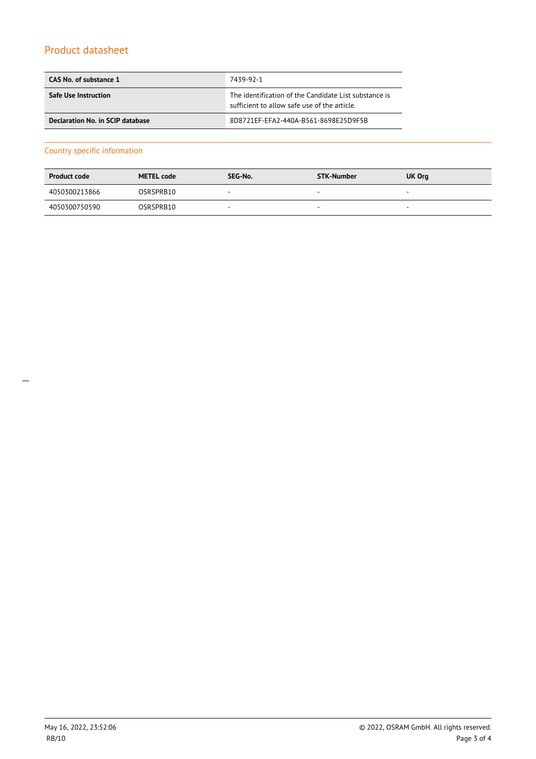| CAS No. of substance 1           | 7439-92-1                                                                                             |  |
|----------------------------------|-------------------------------------------------------------------------------------------------------|--|
| <b>Safe Use Instruction</b>      | The identification of the Candidate List substance is<br>sufficient to allow safe use of the article. |  |
| Declaration No. in SCIP database | 8D8721EF-EFA2-440A-B561-8698E25D9F5B                                                                  |  |

#### Country specific information

| <b>Product code</b> | <b>METEL code</b> | SEG-No. | STK-Number | UK Org |
|---------------------|-------------------|---------|------------|--------|
| 4050300213866       | OSRSPRB10         | -       | $\sim$     |        |
| 4050300750590       | OSRSPRB10         | -       | -          |        |